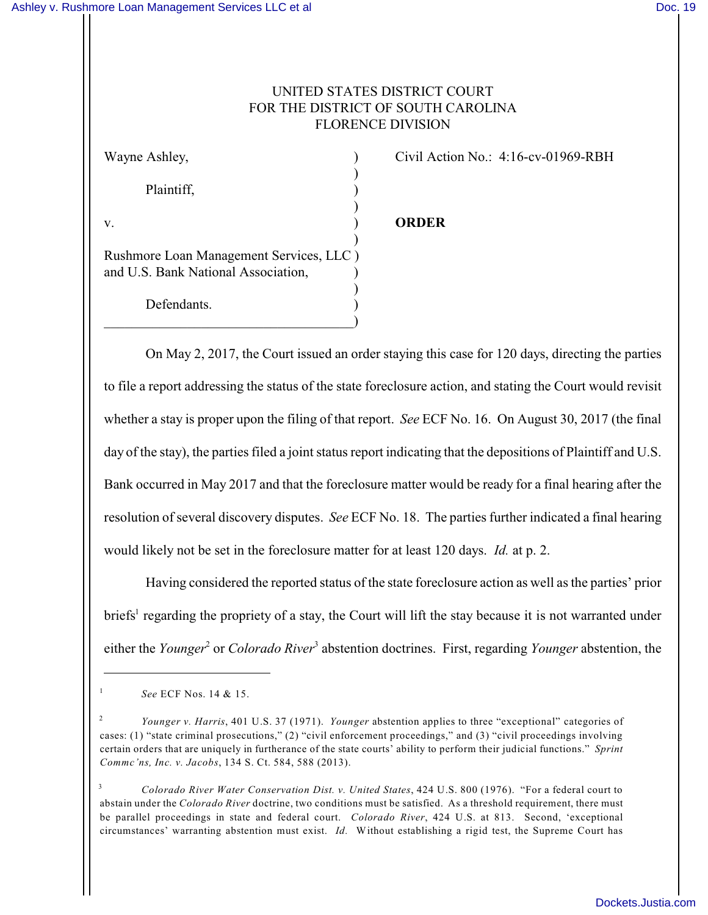## UNITED STATES DISTRICT COURT FOR THE DISTRICT OF SOUTH CAROLINA FLORENCE DIVISION

| Wayne Ashley,                                                                  |  |
|--------------------------------------------------------------------------------|--|
| Plaintiff,                                                                     |  |
| v.                                                                             |  |
| Rushmore Loan Management Services, LLC)<br>and U.S. Bank National Association, |  |
| Defendants.                                                                    |  |

Civil Action No.: 4:16-cv-01969-RBH

## v. ) **ORDER**

On May 2, 2017, the Court issued an order staying this case for 120 days, directing the parties to file a report addressing the status of the state foreclosure action, and stating the Court would revisit whether a stay is proper upon the filing of that report. *See* ECF No. 16. On August 30, 2017 (the final day of the stay), the parties filed a joint status report indicating that the depositions of Plaintiff and U.S. Bank occurred in May 2017 and that the foreclosure matter would be ready for a final hearing after the resolution of several discovery disputes. *See* ECF No. 18. The parties further indicated a final hearing would likely not be set in the foreclosure matter for at least 120 days. *Id.* at p. 2.

Having considered the reported status of the state foreclosure action as well as the parties' prior briefs<sup>1</sup> regarding the propriety of a stay, the Court will lift the stay because it is not warranted under either the *Younger*<sup>2</sup> or *Colorado River*<sup>3</sup> abstention doctrines. First, regarding *Younger* abstention, the

1

*See* ECF Nos. 14 & 15.

*Younger v. Harris*, 401 U.S. 37 (1971). *Younger* abstention applies to three "exceptional" categories of 2 cases: (1) "state criminal prosecutions," (2) "civil enforcement proceedings," and (3) "civil proceedings involving certain orders that are uniquely in furtherance of the state courts' ability to perform their judicial functions." *Sprint Commc'ns, Inc. v. Jacobs*, 134 S. Ct. 584, 588 (2013).

*Colorado River Water Conservation Dist. v. United States*, 424 U.S. 800 (1976). "For a federal court to 3 abstain under the *Colorado River* doctrine, two conditions must be satisfied. As a threshold requirement, there must be parallel proceedings in state and federal court. *Colorado River*, 424 U.S. at 813. Second, 'exceptional circumstances' warranting abstention must exist. *Id.* Without establishing a rigid test, the Supreme Court has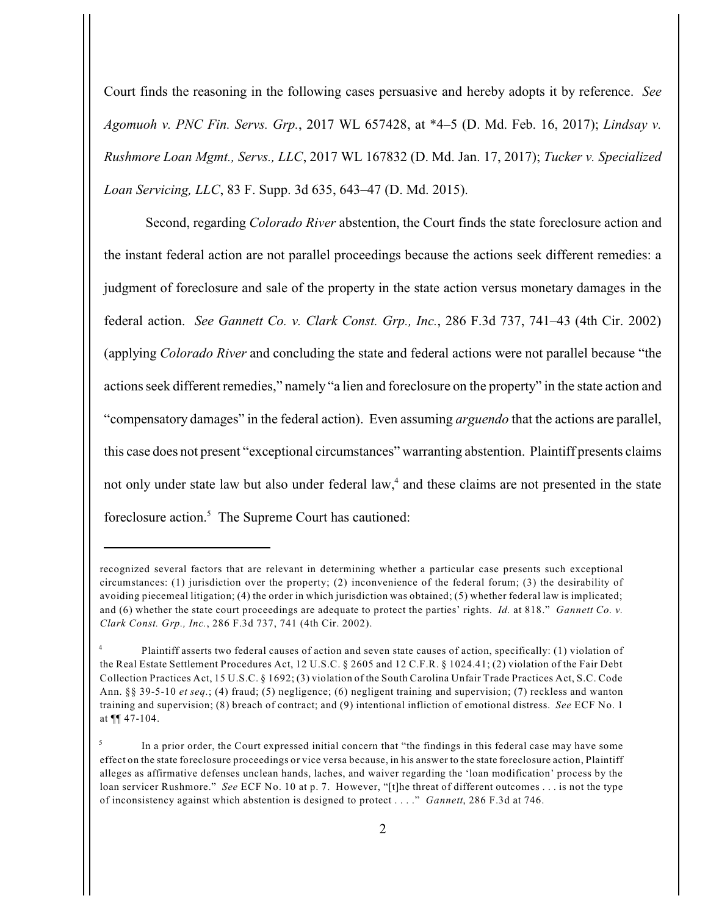Court finds the reasoning in the following cases persuasive and hereby adopts it by reference. *See Agomuoh v. PNC Fin. Servs. Grp.*, 2017 WL 657428, at \*4–5 (D. Md. Feb. 16, 2017); *Lindsay v. Rushmore Loan Mgmt., Servs., LLC*, 2017 WL 167832 (D. Md. Jan. 17, 2017); *Tucker v. Specialized Loan Servicing, LLC*, 83 F. Supp. 3d 635, 643–47 (D. Md. 2015).

Second, regarding *Colorado River* abstention, the Court finds the state foreclosure action and the instant federal action are not parallel proceedings because the actions seek different remedies: a judgment of foreclosure and sale of the property in the state action versus monetary damages in the federal action. *See Gannett Co. v. Clark Const. Grp., Inc.*, 286 F.3d 737, 741–43 (4th Cir. 2002) (applying *Colorado River* and concluding the state and federal actions were not parallel because "the actions seek different remedies," namely "a lien and foreclosure on the property" in the state action and "compensatory damages" in the federal action). Even assuming *arguendo* that the actions are parallel, this case does not present "exceptional circumstances" warranting abstention. Plaintiff presents claims not only under state law but also under federal law,<sup>4</sup> and these claims are not presented in the state foreclosure action.<sup>5</sup> The Supreme Court has cautioned:

recognized several factors that are relevant in determining whether a particular case presents such exceptional circumstances: (1) jurisdiction over the property; (2) inconvenience of the federal forum; (3) the desirability of avoiding piecemeal litigation; (4) the order in which jurisdiction was obtained; (5) whether federal law is implicated; and (6) whether the state court proceedings are adequate to protect the parties' rights. *Id.* at 818." *Gannett Co. v. Clark Const. Grp., Inc.*, 286 F.3d 737, 741 (4th Cir. 2002).

Plaintiff asserts two federal causes of action and seven state causes of action, specifically: (1) violation of 4 the Real Estate Settlement Procedures Act, 12 U.S.C. § 2605 and 12 C.F.R. § 1024.41; (2) violation of the Fair Debt Collection Practices Act, 15 U.S.C. § 1692; (3) violation of the South Carolina Unfair Trade Practices Act, S.C. Code Ann. §§ 39-5-10 *et seq.*; (4) fraud; (5) negligence; (6) negligent training and supervision; (7) reckless and wanton training and supervision; (8) breach of contract; and (9) intentional infliction of emotional distress. *See* ECF No. 1 at ¶¶ 47-104.

In a prior order, the Court expressed initial concern that "the findings in this federal case may have some 5 effect on the state foreclosure proceedings or vice versa because, in his answer to the state foreclosure action, Plaintiff alleges as affirmative defenses unclean hands, laches, and waiver regarding the 'loan modification' process by the loan servicer Rushmore." *See* ECF No. 10 at p. 7. However, "[t]he threat of different outcomes . . . is not the type of inconsistency against which abstention is designed to protect . . . ." *Gannett*, 286 F.3d at 746.